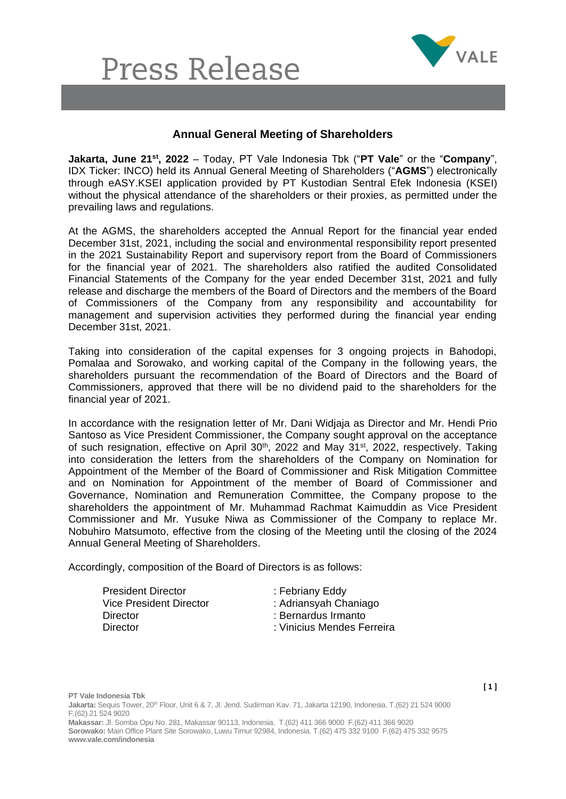## **Press Release**



## **Annual General Meeting of Shareholders**

**Jakarta, June 21st, 2022** – Today, PT Vale Indonesia Tbk ("**PT Vale**" or the "**Company**", IDX Ticker: INCO) held its Annual General Meeting of Shareholders ("**AGMS**") electronically through eASY.KSEI application provided by PT Kustodian Sentral Efek Indonesia (KSEI) without the physical attendance of the shareholders or their proxies, as permitted under the prevailing laws and regulations.

At the AGMS, the shareholders accepted the Annual Report for the financial year ended December 31st, 2021, including the social and environmental responsibility report presented in the 2021 Sustainability Report and supervisory report from the Board of Commissioners for the financial year of 2021. The shareholders also ratified the audited Consolidated Financial Statements of the Company for the year ended December 31st, 2021 and fully release and discharge the members of the Board of Directors and the members of the Board of Commissioners of the Company from any responsibility and accountability for management and supervision activities they performed during the financial year ending December 31st, 2021.

Taking into consideration of the capital expenses for 3 ongoing projects in Bahodopi, Pomalaa and Sorowako, and working capital of the Company in the following years, the shareholders pursuant the recommendation of the Board of Directors and the Board of Commissioners, approved that there will be no dividend paid to the shareholders for the financial year of 2021.

In accordance with the resignation letter of Mr. Dani Widjaja as Director and Mr. Hendi Prio Santoso as Vice President Commissioner, the Company sought approval on the acceptance of such resignation, effective on April 30<sup>th</sup>, 2022 and May 31<sup>st</sup>, 2022, respectively. Taking into consideration the letters from the shareholders of the Company on Nomination for Appointment of the Member of the Board of Commissioner and Risk Mitigation Committee and on Nomination for Appointment of the member of Board of Commissioner and Governance, Nomination and Remuneration Committee, the Company propose to the shareholders the appointment of Mr. Muhammad Rachmat Kaimuddin as Vice President Commissioner and Mr. Yusuke Niwa as Commissioner of the Company to replace Mr. Nobuhiro Matsumoto, effective from the closing of the Meeting until the closing of the 2024 Annual General Meeting of Shareholders.

Accordingly, composition of the Board of Directors is as follows:

**www.vale.com/indonesia**

| <b>President Director</b><br>Vice President Director | : Febriany Eddy<br>: Adriansyah Chaniago |
|------------------------------------------------------|------------------------------------------|
| Director                                             | : Bernardus Irmanto                      |
| Director                                             | : Vinicius Mendes Ferreira               |

**[ 1 ]**